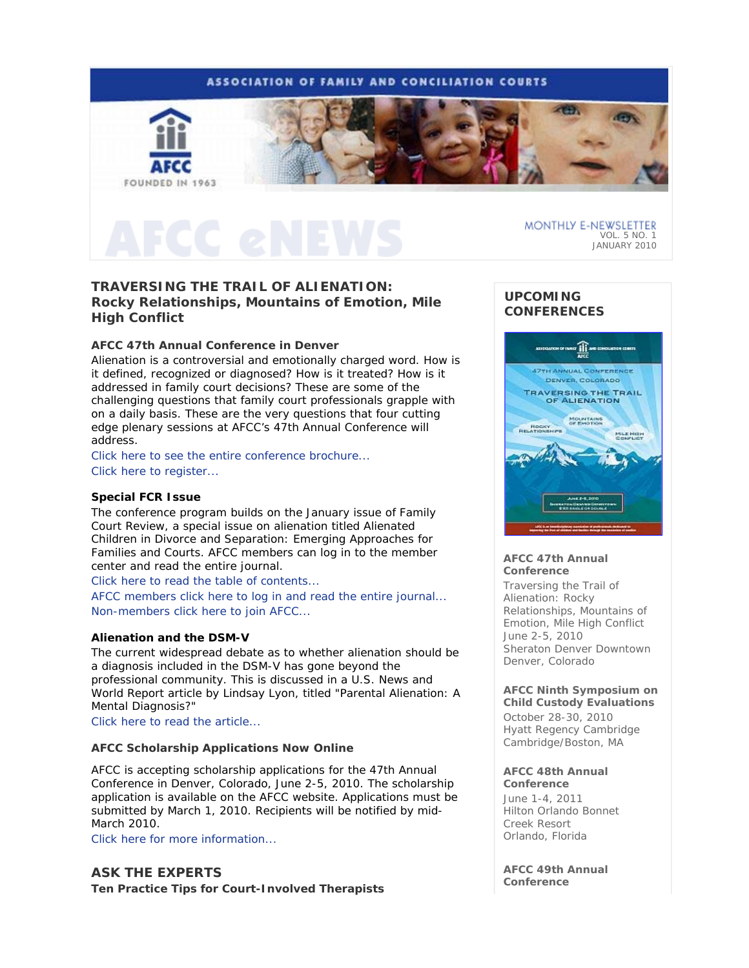# **ASSOCIATION OF FAMILY AND CONCILIATION COURTS**



**TRAVERSING THE TRAIL OF ALIENATION: Rocky Relationships, Mountains of Emotion, Mile High Conflict** 

### **AFCC 47th Annual Conference in Denver**

Alienation is a controversial and emotionally charged word. How is it defined, recognized or diagnosed? How is it treated? How is it addressed in family court decisions? These are some of the challenging questions that family court professionals grapple with on a daily basis. These are the very questions that four cutting edge plenary sessions at AFCC's 47th Annual Conference will address.

Click here to see the entire conference brochure... Click here to register...

### **Special** *FCR* **Issue**

The conference program builds on the January issue of *Family Court Review*, a special issue on alienation titled *Alienated Children in Divorce and Separation: Emerging Approaches for Families and Courts*. AFCC members can log in to the member center and read the entire journal.

Click here to read the table of contents...

AFCC members click here to log in and read the entire journal... Non-members click here to join AFCC...

### **Alienation and the DSM-V**

The current widespread debate as to whether alienation should be a diagnosis included in the DSM-V has gone beyond the professional community. This is discussed in a *U.S. News and World Report* article by Lindsay Lyon, titled "Parental Alienation: A Mental Diagnosis?"

Click here to read the article...

### **AFCC Scholarship Applications Now Online**

AFCC is accepting scholarship applications for the 47th Annual Conference in Denver, Colorado, June 2-5, 2010. The scholarship application is available on the AFCC website. Applications must be submitted by March 1, 2010. Recipients will be notified by mid-March 2010.

Click here for more information...

# **ASK THE EXPERTS**

**Ten Practice Tips for Court-Involved Therapists** 

# **UPCOMING CONFERENCES**

VOL. 5 NO. 1 JANUARY 2010

MONTHLY E-NEWSLETTER



### **AFCC 47th Annual Conference**

*Traversing the Trail of Alienation: Rocky Relationships, Mountains of Emotion, Mile High Conflict* June 2-5, 2010 Sheraton Denver Downtown Denver, Colorado

### **AFCC Ninth Symposium on Child Custody Evaluations**

October 28-30, 2010 Hyatt Regency Cambridge Cambridge/Boston, MA

### **AFCC 48th Annual**

**Conference** June 1-4, 2011 Hilton Orlando Bonnet Creek Resort Orlando, Florida

**AFCC 49th Annual Conference**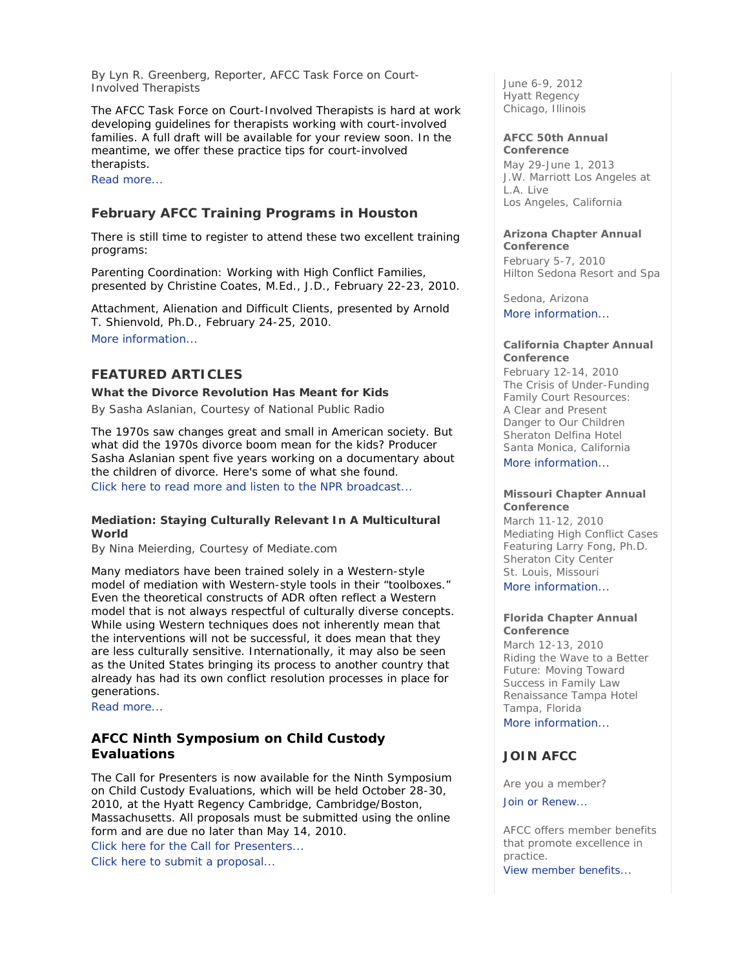*By Lyn R. Greenberg, Reporter, AFCC Task Force on Court-Involved Therapists* 

The AFCC Task Force on Court-Involved Therapists is hard at work developing guidelines for therapists working with court-involved families. A full draft will be available for your review soon. In the meantime, we offer these practice tips for court-involved therapists.

Read more...

# **February AFCC Training Programs in Houston**

There is still time to register to attend these two excellent training programs:

*Parenting Coordination: Working with High Conflict Families*, presented by Christine Coates, M.Ed., J.D., February 22-23, 2010.

*Attachment, Alienation and Difficult Clients,* presented by Arnold T. Shienvold, Ph.D., February 24-25, 2010. More information...

# **FEATURED ARTICLES**

### **What the Divorce Revolution Has Meant for Kids**

*By Sasha Aslanian, Courtesy of National Public Radio* 

The 1970s saw changes great and small in American society. But what did the 1970s divorce boom mean for the kids? Producer Sasha Aslanian spent five years working on a documentary about the children of divorce. Here's some of what she found. Click here to read more and listen to the NPR broadcast...

### **Mediation: Staying Culturally Relevant In A Multicultural World**

*By Nina Meierding, Courtesy of Mediate.com* 

Many mediators have been trained solely in a Western-style model of mediation with Western-style tools in their "toolboxes." Even the theoretical constructs of ADR often reflect a Western model that is not always respectful of culturally diverse concepts. While using Western techniques does not inherently mean that the interventions will not be successful, it does mean that they are less culturally sensitive. Internationally, it may also be seen as the United States bringing its process to another country that already has had its own conflict resolution processes in place for generations.

Read more...

# **AFCC Ninth Symposium on Child Custody Evaluations**

The Call for Presenters is now available for the Ninth Symposium on Child Custody Evaluations, which will be held October 28-30, 2010, at the Hyatt Regency Cambridge, Cambridge/Boston, Massachusetts. All proposals must be submitted using the online form and are due no later than May 14, 2010.

Click here for the Call for Presenters... Click here to submit a proposal...

June 6-9, 2012 Hyatt Regency Chicago, Illinois

#### **AFCC 50th Annual Conference**

May 29-June 1, 2013 J.W. Marriott Los Angeles at L.A. Live Los Angeles, California

# **Arizona Chapter Annual**

**Conference**  February 5-7, 2010 Hilton Sedona Resort and Spa

Sedona, Arizona More information...

#### **California Chapter Annual Conference**

February 12-14, 2010 *The Crisis of Under-Funding Family Court Resources: A Clear and Present Danger to Our Children* Sheraton Delfina Hotel Santa Monica, California More information

#### **Missouri Chapter Annual Conference**

March 11-12, 2010 *Mediating High Conflict Cases* Featuring Larry Fong, Ph.D. Sheraton City Center St. Louis, Missouri More information...

#### **Florida Chapter Annual Conference**

March 12-13, 2010 *Riding the Wave to a Better Future: Moving Toward Success in Family Law*  Renaissance Tampa Hotel Tampa, Florida

More information...

# **JOIN AFCC**

Are you a member?

Join or Renew...

AFCC offers member benefits that promote excellence in practice. View member benefits...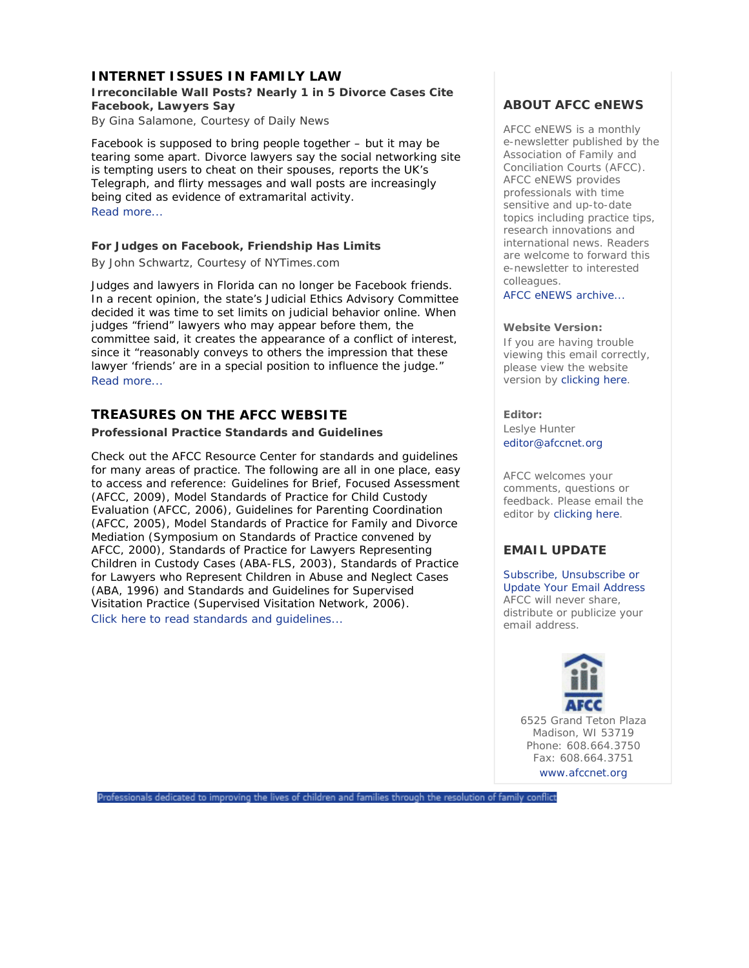# **INTERNET ISSUES IN FAMILY LAW**

# **Irreconcilable Wall Posts? Nearly 1 in 5 Divorce Cases Cite Facebook, Lawyers Say**

*By Gina Salamone, Courtesy of Daily News* 

Facebook is supposed to bring people together – but it may be tearing some apart. Divorce lawyers say the social networking site is tempting users to cheat on their spouses, reports the UK's Telegraph, and flirty messages and wall posts are increasingly being cited as evidence of extramarital activity. Read more...

# **For Judges on Facebook, Friendship Has Limits**

*By John Schwartz, Courtesy of NYTimes.com* 

Judges and lawyers in Florida can no longer be Facebook friends. In a recent opinion, the state's Judicial Ethics Advisory Committee decided it was time to set limits on judicial behavior online. When judges "friend" lawyers who may appear before them, the committee said, it creates the appearance of a conflict of interest, since it "reasonably conveys to others the impression that these lawyer 'friends' are in a special position to influence the judge." Read more...

# **TREASURES ON THE AFCC WEBSITE**

### **Professional Practice Standards and Guidelines**

Check out the AFCC Resource Center for standards and guidelines for many areas of practice. The following are all in one place, easy to access and reference: Guidelines for Brief, Focused Assessment (AFCC, 2009), Model Standards of Practice for Child Custody Evaluation (AFCC, 2006), Guidelines for Parenting Coordination (AFCC, 2005), Model Standards of Practice for Family and Divorce Mediation (Symposium on Standards of Practice convened by AFCC, 2000), Standards of Practice for Lawyers Representing Children in Custody Cases (ABA-FLS, 2003), Standards of Practice for Lawyers who Represent Children in Abuse and Neglect Cases (ABA, 1996) and Standards and Guidelines for Supervised Visitation Practice (Supervised Visitation Network, 2006). Click here to read standards and guidelines...

# **ABOUT AFCC eNEWS**

*AFCC eNEWS* is a monthly e-newsletter published by the Association of Family and Conciliation Courts (AFCC). *AFCC eNEWS* provides professionals with time sensitive and up-to-date topics including practice tips, research innovations and international news. Readers are welcome to forward this e-newsletter to interested colleagues.

AFCC eNEWS archive...

### **Website Version:**

If you are having trouble viewing this email correctly, please view the website version by clicking here.

### **Editor:**

Leslye Hunter editor@afccnet.org

AFCC welcomes your comments, questions or feedback. Please email the editor by clicking here.

# **EMAIL UPDATE**

Subscribe, Unsubscribe or Update Your Email Address AFCC will never share, distribute or publicize your email address.



6525 Grand Teton Plaza Madison, WI 53719 Phone: 608.664.3750 Fax: 608.664.3751 www.afccnet.org

Professionals dedicated to improving the lives of children and families through the resolution of family conflict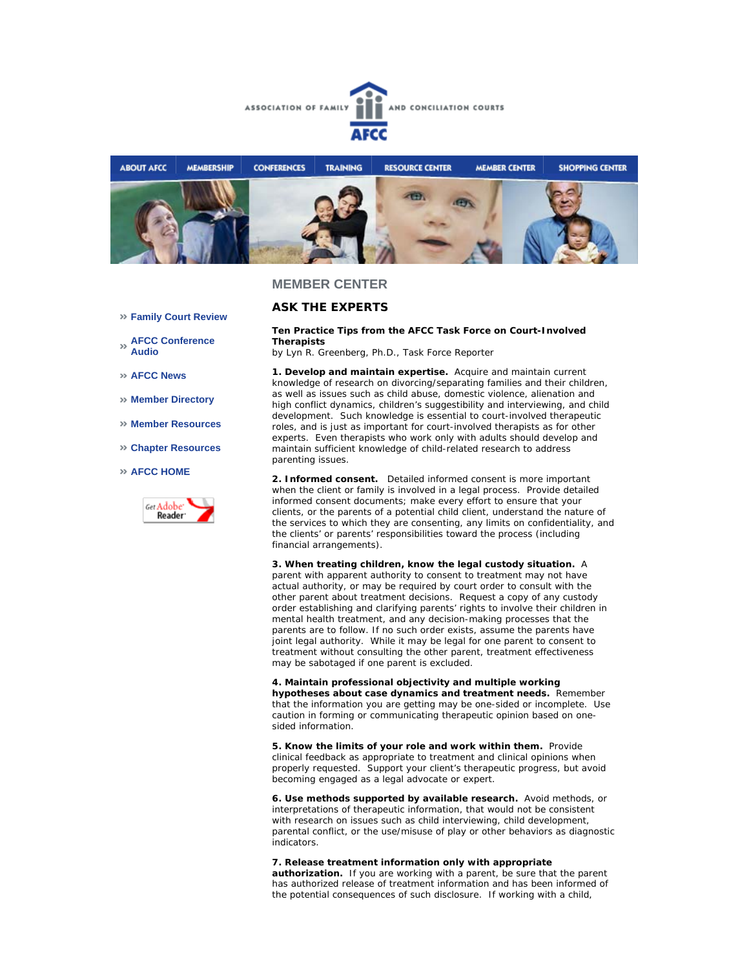



### **MEMBER CENTER**

### **ASK THE EXPERTS**

**Ten Practice Tips from the AFCC Task Force on Court-Involved Therapists**

*by Lyn R. Greenberg, Ph.D., Task Force Reporter*

**1. Develop and maintain expertise.** Acquire and maintain current knowledge of research on divorcing/separating families and their children, as well as issues such as child abuse, domestic violence, alienation and high conflict dynamics, children's suggestibility and interviewing, and child development. Such knowledge is essential to court-involved therapeutic roles, and is just as important for court-involved therapists as for other experts. Even therapists who work only with adults should develop and maintain sufficient knowledge of child-related research to address parenting issues.

**2. Informed consent.** Detailed informed consent is more important when the client or family is involved in a legal process. Provide detailed informed consent documents; make every effort to ensure that your clients, or the parents of a potential child client, understand the nature of the services to which they are consenting, any limits on confidentiality, and the clients' or parents' responsibilities toward the process (including financial arrangements).

**3. When treating children, know the legal custody situation.** A parent with apparent authority to consent to treatment may not have actual authority, or may be required by court order to consult with the other parent about treatment decisions. Request a copy of any custody order establishing and clarifying parents' rights to involve their children in mental health treatment, and any decision-making processes that the parents are to follow. If no such order exists, assume the parents have joint legal authority. While it may be legal for one parent to consent to treatment without consulting the other parent, treatment effectiveness may be sabotaged if one parent is excluded.

**4. Maintain professional objectivity and multiple working hypotheses about case dynamics and treatment needs.** Remember that the information you are getting may be one-sided or incomplete. Use caution in forming or communicating therapeutic opinion based on onesided information.

**5. Know the limits of your role and work within them.** Provide clinical feedback as appropriate to treatment and clinical opinions when properly requested. Support your client's therapeutic progress, but avoid becoming engaged as a legal advocate or expert.

**6. Use methods supported by available research.** Avoid methods, or interpretations of therapeutic information, that would not be consistent with research on issues such as child interviewing, child development, parental conflict, or the use/misuse of play or other behaviors as diagnostic indicators.

**7. Release treatment information only with appropriate**

**authorization.** If you are working with a parent, be sure that the parent has authorized release of treatment information and has been informed of the potential consequences of such disclosure. If working with a child,

- **Family Court Review**
- **AFCC Conference Audio**
- **AFCC News**
- **Member Directory**
- **Member Resources**
- **Chapter Resources**
- **AFCC HOME**